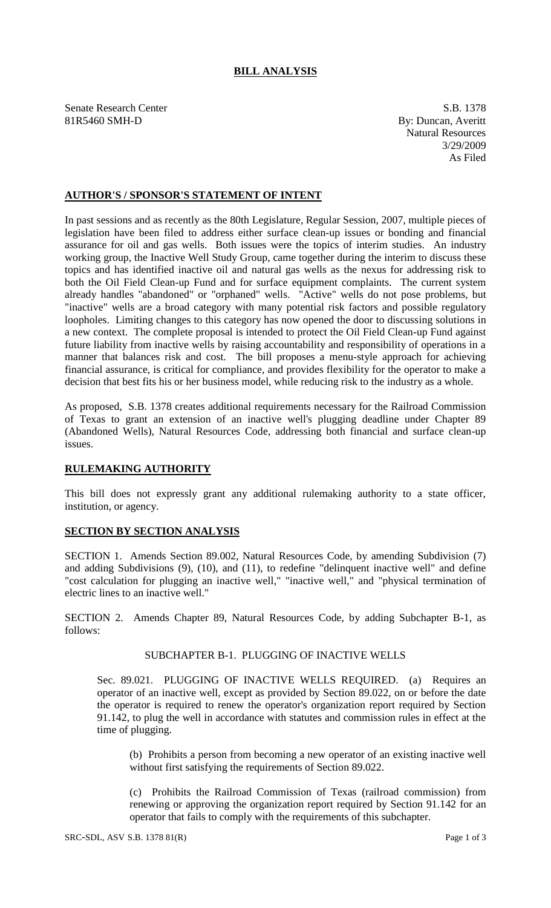## **BILL ANALYSIS**

Senate Research Center S.B. 1378 81R5460 SMH-D By: Duncan, Averitt

Natural Resources 3/29/2009 As Filed

## **AUTHOR'S / SPONSOR'S STATEMENT OF INTENT**

In past sessions and as recently as the 80th Legislature, Regular Session, 2007, multiple pieces of legislation have been filed to address either surface clean-up issues or bonding and financial assurance for oil and gas wells. Both issues were the topics of interim studies. An industry working group, the Inactive Well Study Group, came together during the interim to discuss these topics and has identified inactive oil and natural gas wells as the nexus for addressing risk to both the Oil Field Clean-up Fund and for surface equipment complaints. The current system already handles "abandoned" or "orphaned" wells. "Active" wells do not pose problems, but "inactive" wells are a broad category with many potential risk factors and possible regulatory loopholes. Limiting changes to this category has now opened the door to discussing solutions in a new context. The complete proposal is intended to protect the Oil Field Clean-up Fund against future liability from inactive wells by raising accountability and responsibility of operations in a manner that balances risk and cost. The bill proposes a menu-style approach for achieving financial assurance, is critical for compliance, and provides flexibility for the operator to make a decision that best fits his or her business model, while reducing risk to the industry as a whole.

As proposed, S.B. 1378 creates additional requirements necessary for the Railroad Commission of Texas to grant an extension of an inactive well's plugging deadline under Chapter 89 (Abandoned Wells), Natural Resources Code, addressing both financial and surface clean-up issues.

#### **RULEMAKING AUTHORITY**

This bill does not expressly grant any additional rulemaking authority to a state officer, institution, or agency.

## **SECTION BY SECTION ANALYSIS**

SECTION 1. Amends Section 89.002, Natural Resources Code, by amending Subdivision (7) and adding Subdivisions (9), (10), and (11), to redefine "delinquent inactive well" and define "cost calculation for plugging an inactive well," "inactive well," and "physical termination of electric lines to an inactive well."

SECTION 2. Amends Chapter 89, Natural Resources Code, by adding Subchapter B-1, as follows:

# SUBCHAPTER B-1. PLUGGING OF INACTIVE WELLS

Sec. 89.021. PLUGGING OF INACTIVE WELLS REQUIRED. (a) Requires an operator of an inactive well, except as provided by Section 89.022, on or before the date the operator is required to renew the operator's organization report required by Section 91.142, to plug the well in accordance with statutes and commission rules in effect at the time of plugging.

(b) Prohibits a person from becoming a new operator of an existing inactive well without first satisfying the requirements of Section 89.022.

(c) Prohibits the Railroad Commission of Texas (railroad commission) from renewing or approving the organization report required by Section 91.142 for an operator that fails to comply with the requirements of this subchapter.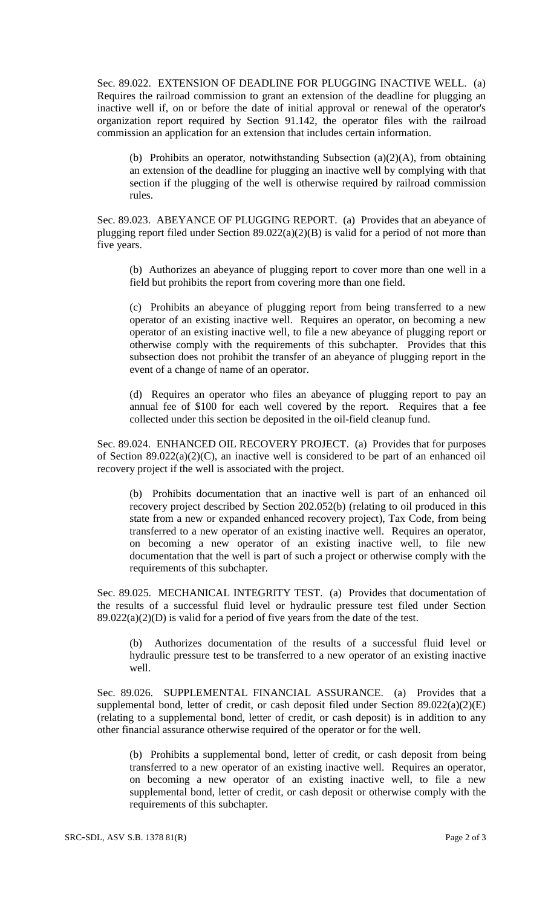Sec. 89.022. EXTENSION OF DEADLINE FOR PLUGGING INACTIVE WELL. (a) Requires the railroad commission to grant an extension of the deadline for plugging an inactive well if, on or before the date of initial approval or renewal of the operator's organization report required by Section 91.142, the operator files with the railroad commission an application for an extension that includes certain information.

(b) Prohibits an operator, notwithstanding Subsection (a)(2)(A), from obtaining an extension of the deadline for plugging an inactive well by complying with that section if the plugging of the well is otherwise required by railroad commission rules.

Sec. 89.023. ABEYANCE OF PLUGGING REPORT. (a) Provides that an abeyance of plugging report filed under Section 89.022(a)(2)(B) is valid for a period of not more than five years.

(b) Authorizes an abeyance of plugging report to cover more than one well in a field but prohibits the report from covering more than one field.

(c) Prohibits an abeyance of plugging report from being transferred to a new operator of an existing inactive well. Requires an operator, on becoming a new operator of an existing inactive well, to file a new abeyance of plugging report or otherwise comply with the requirements of this subchapter. Provides that this subsection does not prohibit the transfer of an abeyance of plugging report in the event of a change of name of an operator.

(d) Requires an operator who files an abeyance of plugging report to pay an annual fee of \$100 for each well covered by the report. Requires that a fee collected under this section be deposited in the oil-field cleanup fund.

Sec. 89.024. ENHANCED OIL RECOVERY PROJECT. (a) Provides that for purposes of Section 89.022(a)(2)(C), an inactive well is considered to be part of an enhanced oil recovery project if the well is associated with the project.

(b) Prohibits documentation that an inactive well is part of an enhanced oil recovery project described by Section 202.052(b) (relating to oil produced in this state from a new or expanded enhanced recovery project), Tax Code, from being transferred to a new operator of an existing inactive well. Requires an operator, on becoming a new operator of an existing inactive well, to file new documentation that the well is part of such a project or otherwise comply with the requirements of this subchapter.

Sec. 89.025. MECHANICAL INTEGRITY TEST. (a) Provides that documentation of the results of a successful fluid level or hydraulic pressure test filed under Section  $89.022(a)(2)(D)$  is valid for a period of five years from the date of the test.

(b) Authorizes documentation of the results of a successful fluid level or hydraulic pressure test to be transferred to a new operator of an existing inactive well.

Sec. 89.026. SUPPLEMENTAL FINANCIAL ASSURANCE. (a) Provides that a supplemental bond, letter of credit, or cash deposit filed under Section  $89.022(a)(2)(E)$ (relating to a supplemental bond, letter of credit, or cash deposit) is in addition to any other financial assurance otherwise required of the operator or for the well.

(b) Prohibits a supplemental bond, letter of credit, or cash deposit from being transferred to a new operator of an existing inactive well. Requires an operator, on becoming a new operator of an existing inactive well, to file a new supplemental bond, letter of credit, or cash deposit or otherwise comply with the requirements of this subchapter.